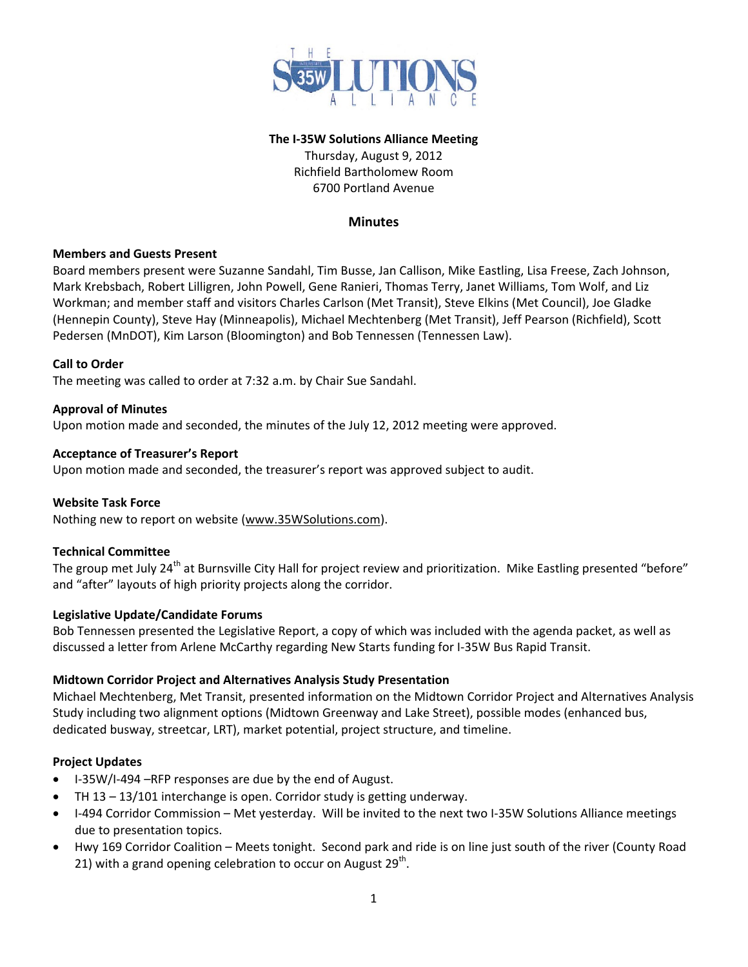

#### **The I-35W Solutions Alliance Meeting**

Thursday, August 9, 2012 Richfield Bartholomew Room 6700 Portland Avenue

## **Minutes**

### **Members and Guests Present**

Board members present were Suzanne Sandahl, Tim Busse, Jan Callison, Mike Eastling, Lisa Freese, Zach Johnson, Mark Krebsbach, Robert Lilligren, John Powell, Gene Ranieri, Thomas Terry, Janet Williams, Tom Wolf, and Liz Workman; and member staff and visitors Charles Carlson (Met Transit), Steve Elkins (Met Council), Joe Gladke (Hennepin County), Steve Hay (Minneapolis), Michael Mechtenberg (Met Transit), Jeff Pearson (Richfield), Scott Pedersen (MnDOT), Kim Larson (Bloomington) and Bob Tennessen (Tennessen Law).

#### **Call to Order**

The meeting was called to order at 7:32 a.m. by Chair Sue Sandahl.

### **Approval of Minutes**

Upon motion made and seconded, the minutes of the July 12, 2012 meeting were approved.

### **Acceptance of Treasurer's Report**

Upon motion made and seconded, the treasurer's report was approved subject to audit.

### **Website Task Force**

Nothing new to report on website [\(www.35WSolutions.com\)](http://www.35wsolutions.com/).

### **Technical Committee**

The group met July 24<sup>th</sup> at Burnsville City Hall for project review and prioritization. Mike Eastling presented "before" and "after" layouts of high priority projects along the corridor.

### **Legislative Update/Candidate Forums**

Bob Tennessen presented the Legislative Report, a copy of which was included with the agenda packet, as well as discussed a letter from Arlene McCarthy regarding New Starts funding for I-35W Bus Rapid Transit.

### **Midtown Corridor Project and Alternatives Analysis Study Presentation**

Michael Mechtenberg, Met Transit, presented information on the Midtown Corridor Project and Alternatives Analysis Study including two alignment options (Midtown Greenway and Lake Street), possible modes (enhanced bus, dedicated busway, streetcar, LRT), market potential, project structure, and timeline.

### **Project Updates**

- I-35W/I-494 –RFP responses are due by the end of August.
- TH 13 13/101 interchange is open. Corridor study is getting underway.
- I-494 Corridor Commission Met yesterday. Will be invited to the next two I-35W Solutions Alliance meetings due to presentation topics.
- Hwy 169 Corridor Coalition Meets tonight. Second park and ride is on line just south of the river (County Road 21) with a grand opening celebration to occur on August  $29<sup>th</sup>$ .